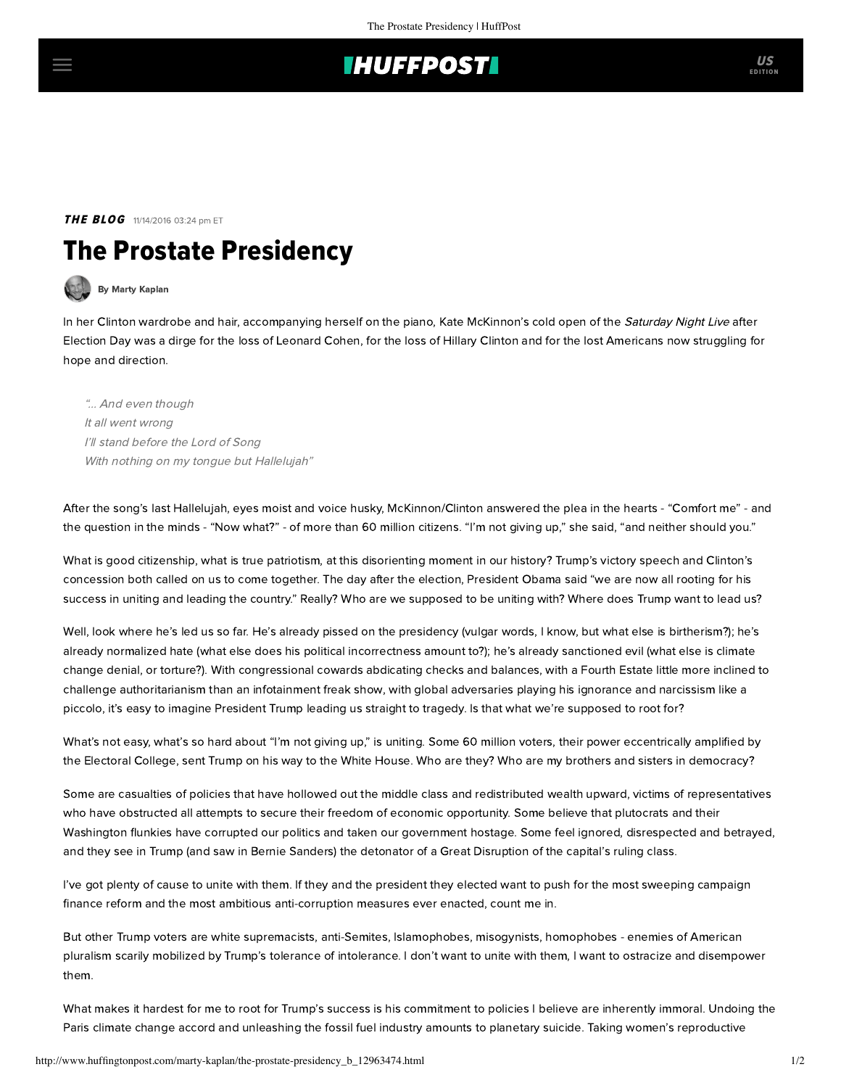## **IHUFFPOSTI**

**THE BLOG** 11/14/2016 03:24 pm ET

# The Prostate Presidency

## [By Marty Kaplan](http://www.huffingtonpost.com/author/marty-kaplan)

In her Clinton wardrobe and hair, accompanying herself on the piano, Kate McKinnon's [cold open](https://www.youtube.com/watch?v=BG-_ZDrypec) of the Saturday Night Live after Election Day was a dirge for the loss of Leonard Cohen, for the loss of Hillary Clinton and for the lost Americans now struggling for hope and direction.

"... And even though It all went wrong I'll stand before the Lord of Song With nothing on my tongue but Hallelujah"

After the song's last Hallelujah, eyes moist and voice husky, McKinnon/Clinton answered the plea in the hearts - "Comfort me" - and the question in the minds - "Now what?" - of more than 60 million citizens. "I'm not giving up," she said, "and neither should you."

What is good citizenship, what is true patriotism, at this disorienting moment in our history? Trump's victory speech and Clinton's concession both called on us to come together. The day after the election, President Obama [said](https://www.washingtonpost.com/news/the-fix/wp/2016/11/09/transcript-president-obamas-remarks-on-donald-trumps-election/) "we are now all rooting for his success in uniting and leading the country." Really? Who are we supposed to be uniting with? Where does Trump want to lead us?

Well, look where he's led us so far. He's already pissed on the presidency (vulgar words, I know, but what else is birtherism?); he's already normalized hate (what else does his political incorrectness amount to?); he's already sanctioned evil (what else is climate change denial, or torture?). With congressional cowards abdicating checks and balances, with a Fourth Estate little more inclined to challenge authoritarianism than an [infotainment freak show,](https://learcenter.org/pdf/Orwell_excerpt.pdf) with global adversaries playing his ignorance and narcissism like a piccolo, it's easy to imagine President Trump leading us straight to tragedy. Is that what we're supposed to root for?

What's not easy, what's so hard about "I'm not giving up," is uniting. Some 60 million voters, their power eccentrically amplified by the Electoral College, sent Trump on his way to the White House. Who are they? Who are my brothers and sisters in democracy?

Some are casualties of policies that have hollowed out the middle class and redistributed wealth upward, victims of representatives who have obstructed all attempts to secure their freedom of economic opportunity. Some believe that plutocrats and their Washington flunkies have corrupted our politics and taken our government hostage. Some feel ignored, disrespected and betrayed, and they see in Trump (and saw in Bernie Sanders) the detonator of a Great Disruption of the capital's ruling class.

I've got plenty of cause to unite with them. If they and the president they elected want to push for the most sweeping campaign finance reform and the most ambitious anti-corruption measures ever enacted, count me in.

But other Trump voters are white supremacists, anti-Semites, Islamophobes, misogynists, homophobes - enemies of American pluralism scarily mobilized by Trump's tolerance of intolerance. I don't want to unite with them, I want to ostracize and disempower them.

What makes it hardest for me to root for Trump's success is his commitment to policies I believe are inherently immoral. Undoing the Paris climate change accord and unleashing the fossil fuel industry amounts to planetary suicide. Taking women's reproductive